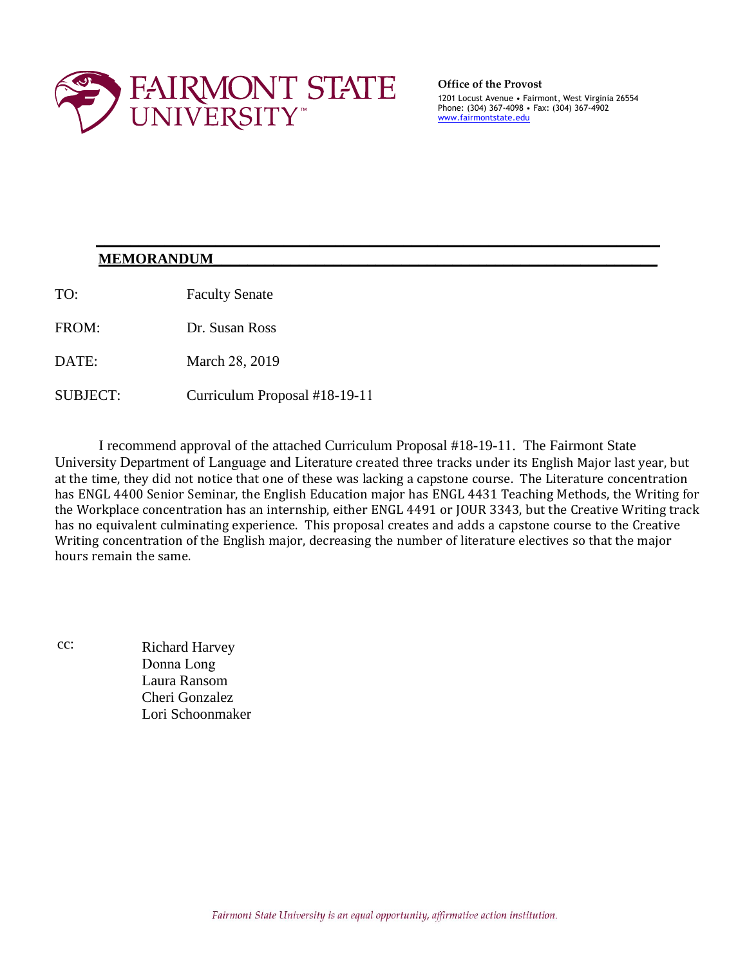

**Office of the Provost** 

1201 Locust Avenue • Fairmont, West Virginia 26554 Phone: (304) 367-4098 • Fax: (304) 367-4902 [www.fairmontstate.edu](http://www.fairmontstate.edu/)

#### $MEMORANDUM$ </u>

TO: Faculty Senate

FROM: Dr. Susan Ross

DATE: March 28, 2019

SUBJECT: Curriculum Proposal #18-19-11

I recommend approval of the attached Curriculum Proposal #18-19-11. The Fairmont State University Department of Language and Literature created three tracks under its English Major last year, but at the time, they did not notice that one of these was lacking a capstone course. The Literature concentration has ENGL 4400 Senior Seminar, the English Education major has ENGL 4431 Teaching Methods, the Writing for the Workplace concentration has an internship, either ENGL 4491 or JOUR 3343, but the Creative Writing track has no equivalent culminating experience. This proposal creates and adds a capstone course to the Creative Writing concentration of the English major, decreasing the number of literature electives so that the major hours remain the same.

**\_\_\_\_\_\_\_\_\_\_\_\_\_\_\_\_\_\_\_\_\_\_\_\_\_\_\_\_\_\_\_\_\_\_\_\_\_\_\_\_\_\_\_\_\_\_\_\_\_\_\_\_\_\_\_\_\_\_\_\_\_\_\_\_\_\_** 

cc: Richard Harvey Donna Long Laura Ransom Cheri Gonzalez Lori Schoonmaker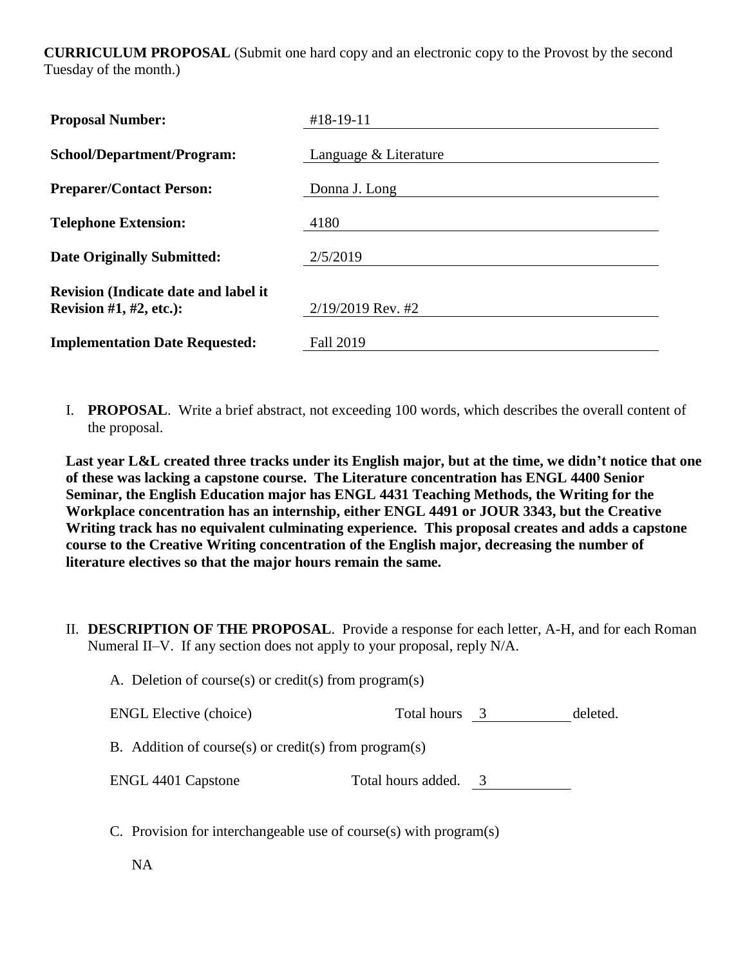**CURRICULUM PROPOSAL** (Submit one hard copy and an electronic copy to the Provost by the second Tuesday of the month.)

| <b>Proposal Number:</b>                                                   | #18-19-11             |
|---------------------------------------------------------------------------|-----------------------|
| <b>School/Department/Program:</b>                                         | Language & Literature |
| <b>Preparer/Contact Person:</b>                                           | Donna J. Long         |
| <b>Telephone Extension:</b>                                               | 4180                  |
| <b>Date Originally Submitted:</b>                                         | 2/5/2019              |
| <b>Revision (Indicate date and label it</b><br>Revision $#1, #2$ , etc.): | $2/19/2019$ Rev. #2   |
| <b>Implementation Date Requested:</b>                                     | Fall 2019             |

I. **PROPOSAL**. Write a brief abstract, not exceeding 100 words, which describes the overall content of the proposal.

**Last year L&L created three tracks under its English major, but at the time, we didn't notice that one of these was lacking a capstone course. The Literature concentration has ENGL 4400 Senior Seminar, the English Education major has ENGL 4431 Teaching Methods, the Writing for the Workplace concentration has an internship, either ENGL 4491 or JOUR 3343, but the Creative Writing track has no equivalent culminating experience. This proposal creates and adds a capstone course to the Creative Writing concentration of the English major, decreasing the number of literature electives so that the major hours remain the same.**

II. **DESCRIPTION OF THE PROPOSAL**. Provide a response for each letter, A-H, and for each Roman Numeral II–V. If any section does not apply to your proposal, reply N/A.

| A. Deletion of course(s) or credit(s) from program(s) |                      |  |          |
|-------------------------------------------------------|----------------------|--|----------|
| <b>ENGL Elective (choice)</b>                         | Total hours 3        |  | deleted. |
| B. Addition of course(s) or credit(s) from program(s) |                      |  |          |
| <b>ENGL 4401 Capstone</b>                             | Total hours added. 3 |  |          |

C. Provision for interchangeable use of course(s) with program(s)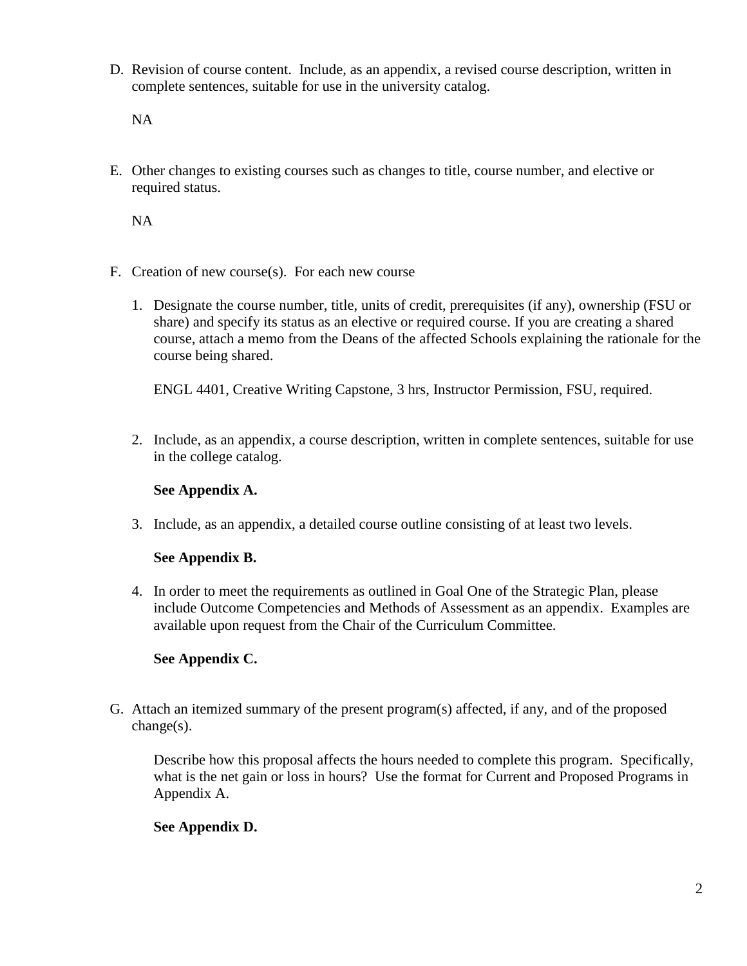D. Revision of course content. Include, as an appendix, a revised course description, written in complete sentences, suitable for use in the university catalog.

NA

E. Other changes to existing courses such as changes to title, course number, and elective or required status.

NA

- F. Creation of new course(s). For each new course
	- 1. Designate the course number, title, units of credit, prerequisites (if any), ownership (FSU or share) and specify its status as an elective or required course. If you are creating a shared course, attach a memo from the Deans of the affected Schools explaining the rationale for the course being shared.

ENGL 4401, Creative Writing Capstone, 3 hrs, Instructor Permission, FSU, required.

2. Include, as an appendix, a course description, written in complete sentences, suitable for use in the college catalog.

## **See Appendix A.**

3. Include, as an appendix, a detailed course outline consisting of at least two levels.

## **See Appendix B.**

4. In order to meet the requirements as outlined in Goal One of the Strategic Plan, please include Outcome Competencies and Methods of Assessment as an appendix. Examples are available upon request from the Chair of the Curriculum Committee.

## **See Appendix C.**

G. Attach an itemized summary of the present program(s) affected, if any, and of the proposed change(s).

Describe how this proposal affects the hours needed to complete this program. Specifically, what is the net gain or loss in hours? Use the format for Current and Proposed Programs in Appendix A.

## **See Appendix D.**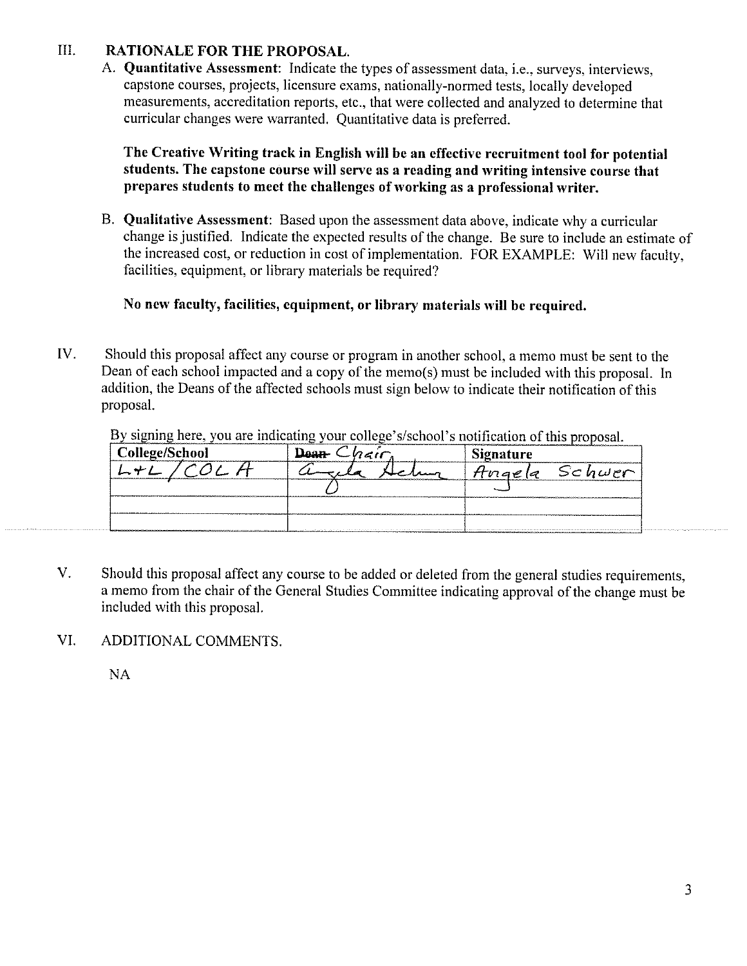#### $III.$ **RATIONALE FOR THE PROPOSAL.**

A. Quantitative Assessment: Indicate the types of assessment data, i.e., surveys, interviews, capstone courses, projects, licensure exams, nationally-normed tests, locally developed measurements, accreditation reports, etc., that were collected and analyzed to determine that curricular changes were warranted. Quantitative data is preferred.

The Creative Writing track in English will be an effective recruitment tool for potential students. The capstone course will serve as a reading and writing intensive course that prepares students to meet the challenges of working as a professional writer.

B. Qualitative Assessment: Based upon the assessment data above, indicate why a curricular change is justified. Indicate the expected results of the change. Be sure to include an estimate of the increased cost, or reduction in cost of implementation. FOR EXAMPLE: Will new faculty, facilities, equipment, or library materials be required?

## No new faculty, facilities, equipment, or library materials will be required.

IV. Should this proposal affect any course or program in another school, a memo must be sent to the Dean of each school impacted and a copy of the memo(s) must be included with this proposal. In addition, the Deans of the affected schools must sign below to indicate their notification of this proposal.

| <sup>1</sup> College/School | <b>ALC 3</b>                                                                                                                      | <b>Signature</b> |
|-----------------------------|-----------------------------------------------------------------------------------------------------------------------------------|------------------|
|                             |                                                                                                                                   | Hnaela Schwer    |
|                             |                                                                                                                                   |                  |
|                             |                                                                                                                                   |                  |
|                             | appropriate a component contract of the contract of the second contract of the second of the second second contract of the second |                  |

By signing here, you are indicating your college's/school's notification of this proposal.

- $V_{\cdot}$ Should this proposal affect any course to be added or deleted from the general studies requirements. a memo from the chair of the General Studies Committee indicating approval of the change must be included with this proposal.
- VI. ADDITIONAL COMMENTS.

**NA**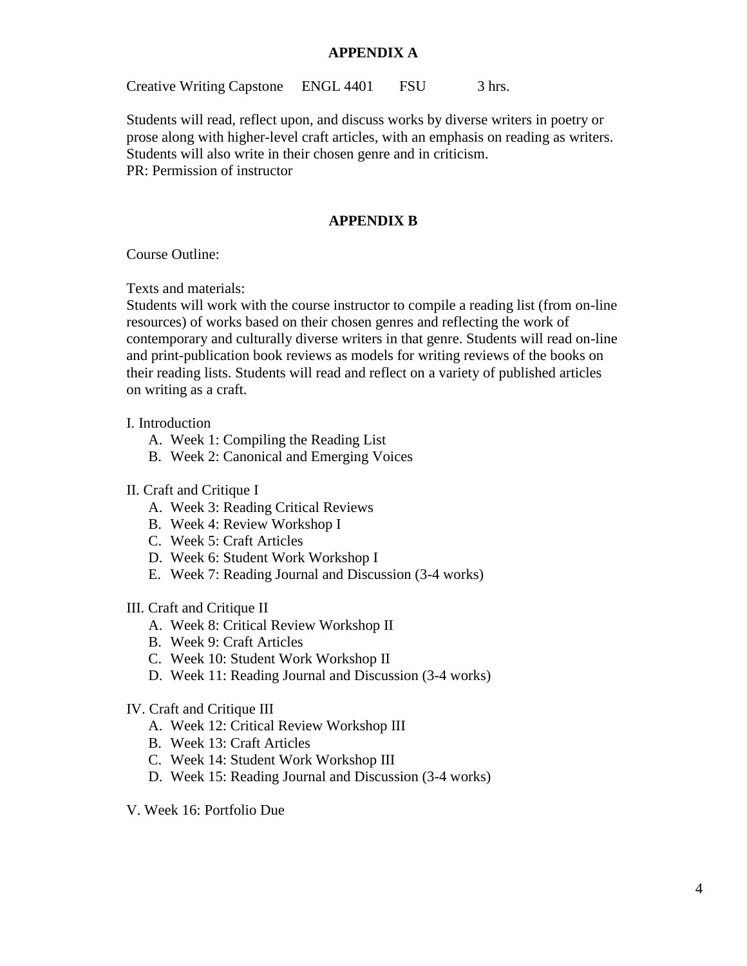#### **APPENDIX A**

Creative Writing Capstone ENGL 4401 FSU 3 hrs.

Students will read, reflect upon, and discuss works by diverse writers in poetry or prose along with higher-level craft articles, with an emphasis on reading as writers. Students will also write in their chosen genre and in criticism. PR: Permission of instructor

### **APPENDIX B**

Course Outline:

Texts and materials:

Students will work with the course instructor to compile a reading list (from on-line resources) of works based on their chosen genres and reflecting the work of contemporary and culturally diverse writers in that genre. Students will read on-line and print-publication book reviews as models for writing reviews of the books on their reading lists. Students will read and reflect on a variety of published articles on writing as a craft.

#### I. Introduction

- A. Week 1: Compiling the Reading List
- B. Week 2: Canonical and Emerging Voices

#### II. Craft and Critique I

- A. Week 3: Reading Critical Reviews
- B. Week 4: Review Workshop I
- C. Week 5: Craft Articles
- D. Week 6: Student Work Workshop I
- E. Week 7: Reading Journal and Discussion (3-4 works)

#### III. Craft and Critique II

- A. Week 8: Critical Review Workshop II
- B. Week 9: Craft Articles
- C. Week 10: Student Work Workshop II
- D. Week 11: Reading Journal and Discussion (3-4 works)

#### IV. Craft and Critique III

- A. Week 12: Critical Review Workshop III
- B. Week 13: Craft Articles
- C. Week 14: Student Work Workshop III
- D. Week 15: Reading Journal and Discussion (3-4 works)
- V. Week 16: Portfolio Due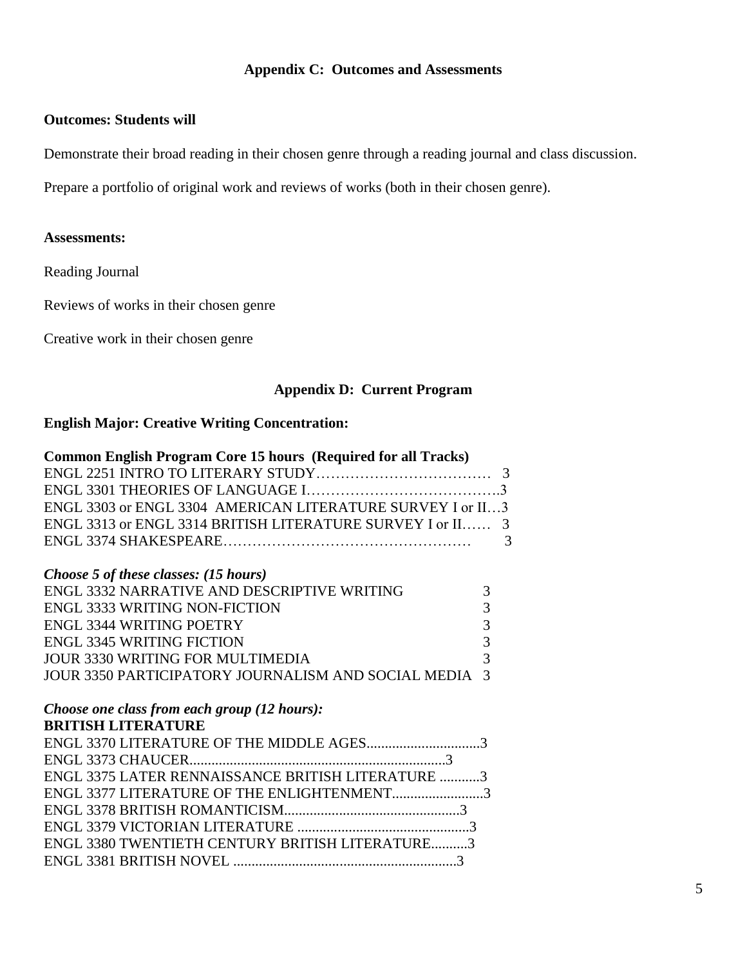## **Appendix C: Outcomes and Assessments**

### **Outcomes: Students will**

Demonstrate their broad reading in their chosen genre through a reading journal and class discussion.

Prepare a portfolio of original work and reviews of works (both in their chosen genre).

#### **Assessments:**

Reading Journal

Reviews of works in their chosen genre

Creative work in their chosen genre

## **Appendix D: Current Program**

## **English Major: Creative Writing Concentration:**

| <b>Common English Program Core 15 hours (Required for all Tracks)</b> |   |
|-----------------------------------------------------------------------|---|
|                                                                       |   |
|                                                                       |   |
| ENGL 3303 or ENGL 3304 AMERICAN LITERATURE SURVEY I or II3            |   |
| ENGL 3313 or ENGL 3314 BRITISH LITERATURE SURVEY I or II              | 3 |
|                                                                       | 3 |
|                                                                       |   |
| Choose 5 of these classes: (15 hours)                                 |   |
| ENGL 3332 NARRATIVE AND DESCRIPTIVE WRITING                           | 3 |
| <b>ENGL 3333 WRITING NON-FICTION</b>                                  | 3 |
| <b>ENGL 3344 WRITING POETRY</b>                                       | 3 |
| <b>ENGL 3345 WRITING FICTION</b>                                      | 3 |
| JOUR 3330 WRITING FOR MULTIMEDIA                                      | 3 |
| <b>JOUR 3350 PARTICIPATORY JOURNALISM AND SOCIAL MEDIA</b>            |   |
|                                                                       |   |
| Choose one class from each group (12 hours):                          |   |
| <b>BRITISH LITERATURE</b>                                             |   |
| ENGL 3370 LITERATURE OF THE MIDDLE AGES3                              |   |
|                                                                       |   |
| <b>ENGL 3375 LATER RENNAISSANCE BRITISH LITERATURE 3</b>              |   |
| ENGL 3377 LITERATURE OF THE ENLIGHTENMENT3                            |   |
|                                                                       |   |
|                                                                       |   |
| <b>ENGL 3380 TWENTIETH CENTURY BRITISH LITERATURE3</b>                |   |
|                                                                       |   |
|                                                                       |   |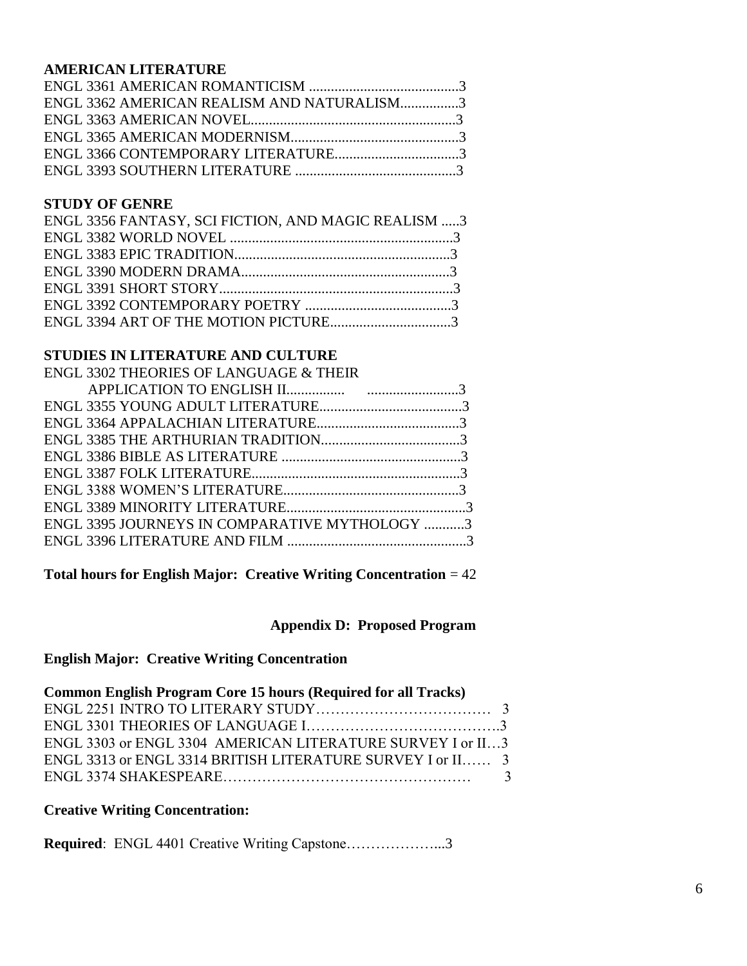## **AMERICAN LITERATURE**

| ENGL 3362 AMERICAN REALISM AND NATURALISM3 |  |
|--------------------------------------------|--|
|                                            |  |
|                                            |  |
|                                            |  |
|                                            |  |

#### **STUDY OF GENRE**

| ENGL 3356 FANTASY, SCI FICTION, AND MAGIC REALISM 3 |  |
|-----------------------------------------------------|--|
|                                                     |  |
|                                                     |  |
|                                                     |  |
|                                                     |  |
|                                                     |  |
|                                                     |  |

## **STUDIES IN LITERATURE AND CULTURE**

| <b>ENGL 3302 THEORIES OF LANGUAGE &amp; THEIR</b> |  |
|---------------------------------------------------|--|
|                                                   |  |
|                                                   |  |
|                                                   |  |
|                                                   |  |
|                                                   |  |
|                                                   |  |
|                                                   |  |
|                                                   |  |
| ENGL 3395 JOURNEYS IN COMPARATIVE MYTHOLOGY 3     |  |
|                                                   |  |
|                                                   |  |

**Total hours for English Major: Creative Writing Concentration** = 42

## **Appendix D: Proposed Program**

## **English Major: Creative Writing Concentration**

| <b>Common English Program Core 15 hours (Required for all Tracks)</b> |  |
|-----------------------------------------------------------------------|--|
|                                                                       |  |
|                                                                       |  |
| ENGL 3303 or ENGL 3304 AMERICAN LITERATURE SURVEY I or II3            |  |
| ENGL 3313 or ENGL 3314 BRITISH LITERATURE SURVEY I or II 3            |  |
|                                                                       |  |

## **Creative Writing Concentration:**

**Required**: ENGL 4401 Creative Writing Capstone………………...3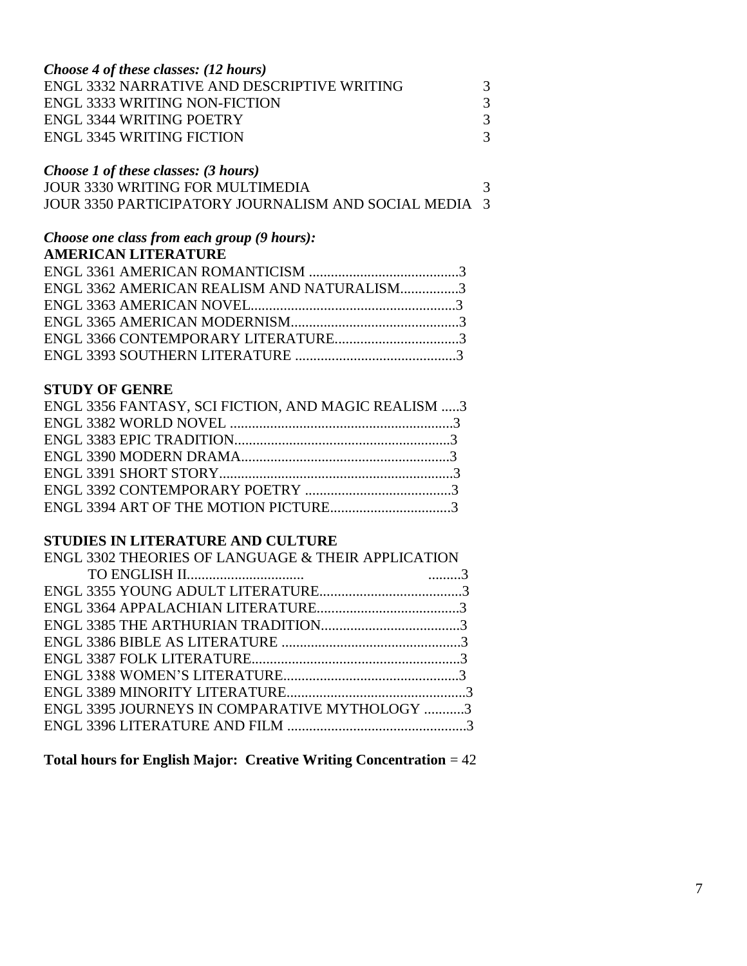| Choose 4 of these classes: (12 hours)       |               |
|---------------------------------------------|---------------|
| ENGL 3332 NARRATIVE AND DESCRIPTIVE WRITING | $\mathcal{R}$ |
| <b>ENGL 3333 WRITING NON-FICTION</b>        | $\mathcal{R}$ |
| ENGL 3344 WRITING POETRY                    | $\mathcal{R}$ |
| <b>ENGL 3345 WRITING FICTION</b>            | 3             |

## *Choose 1 of these classes: (3 hours)*

| <b>JOUR 3330 WRITING FOR MULTIMEDIA</b>                      |  |
|--------------------------------------------------------------|--|
| <b>JOUR 3350 PARTICIPATORY JOURNALISM AND SOCIAL MEDIA 3</b> |  |

## *Choose one class from each group (9 hours):*

## **AMERICAN LITERATURE**

| ENGL 3362 AMERICAN REALISM AND NATURALISM3 |  |
|--------------------------------------------|--|
|                                            |  |
|                                            |  |
|                                            |  |
|                                            |  |
|                                            |  |

## **STUDY OF GENRE**

| ENGL 3356 FANTASY, SCI FICTION, AND MAGIC REALISM 3 |  |
|-----------------------------------------------------|--|
|                                                     |  |
|                                                     |  |
|                                                     |  |
|                                                     |  |
|                                                     |  |
| ENGL 3394 ART OF THE MOTION PICTURE3                |  |

## **STUDIES IN LITERATURE AND CULTURE**

| ENGL 3302 THEORIES OF LANGUAGE & THEIR APPLICATION |  |
|----------------------------------------------------|--|
|                                                    |  |
|                                                    |  |
|                                                    |  |
|                                                    |  |
|                                                    |  |
|                                                    |  |
|                                                    |  |
|                                                    |  |
| ENGL 3395 JOURNEYS IN COMPARATIVE MYTHOLOGY 3      |  |
|                                                    |  |
|                                                    |  |

## **Total hours for English Major: Creative Writing Concentration** = 42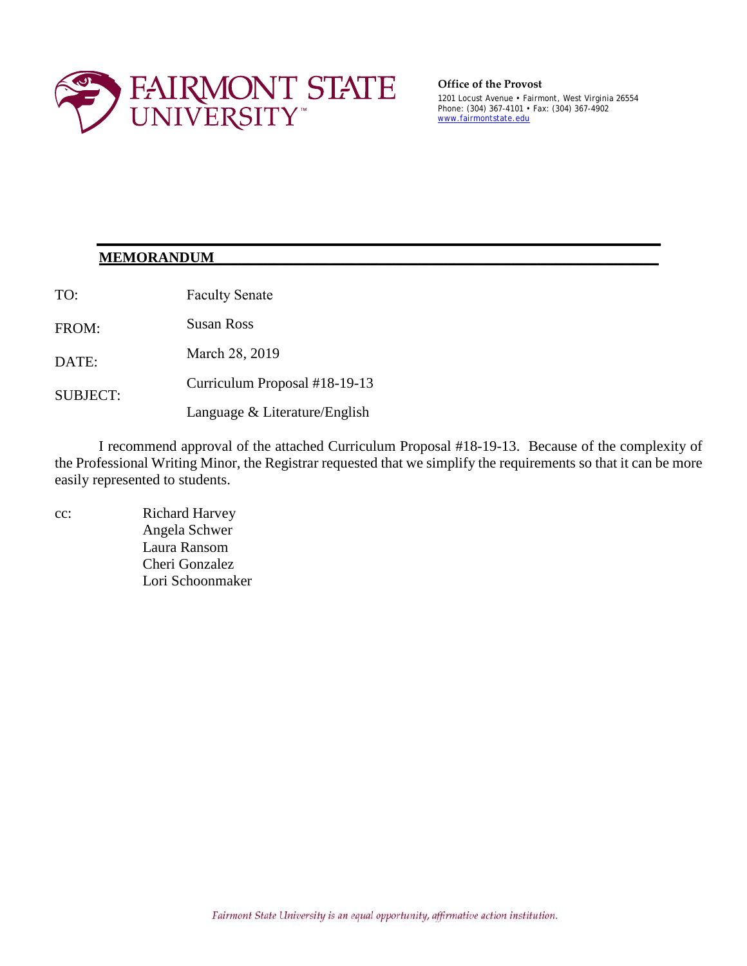

#### **Office of the Provost**

1201 Locust Avenue • Fairmont, West Virginia 26554 Phone: (304) 367-4101 • Fax: (304) 367-4902 [www.fairmontstate.edu](http://www.fairmontstate.edu/) 

### **MEMORANDUM\_\_\_\_\_\_\_\_\_\_\_\_\_\_\_\_\_\_\_\_\_\_\_\_\_\_\_\_\_\_\_\_\_\_\_\_\_\_\_\_\_\_\_\_\_\_\_\_\_\_\_\_**

TO: Faculty Senate

FROM: Susan Ross

DATE: March 28, 2019

SUBJECT: Curriculum Proposal #18-19-13

Language & Literature/English

I recommend approval of the attached Curriculum Proposal #18-19-13. Because of the complexity of the Professional Writing Minor, the Registrar requested that we simplify the requirements so that it can be more easily represented to students.

**\_\_\_\_\_\_\_\_\_\_\_\_\_\_\_\_\_\_\_\_\_\_\_\_\_\_\_\_\_\_\_\_\_\_\_\_\_\_\_\_\_\_\_\_\_\_\_\_\_\_\_\_\_\_\_\_\_\_\_\_\_\_\_\_\_\_** 

cc: Richard Harvey Angela Schwer Laura Ransom Cheri Gonzalez Lori Schoonmaker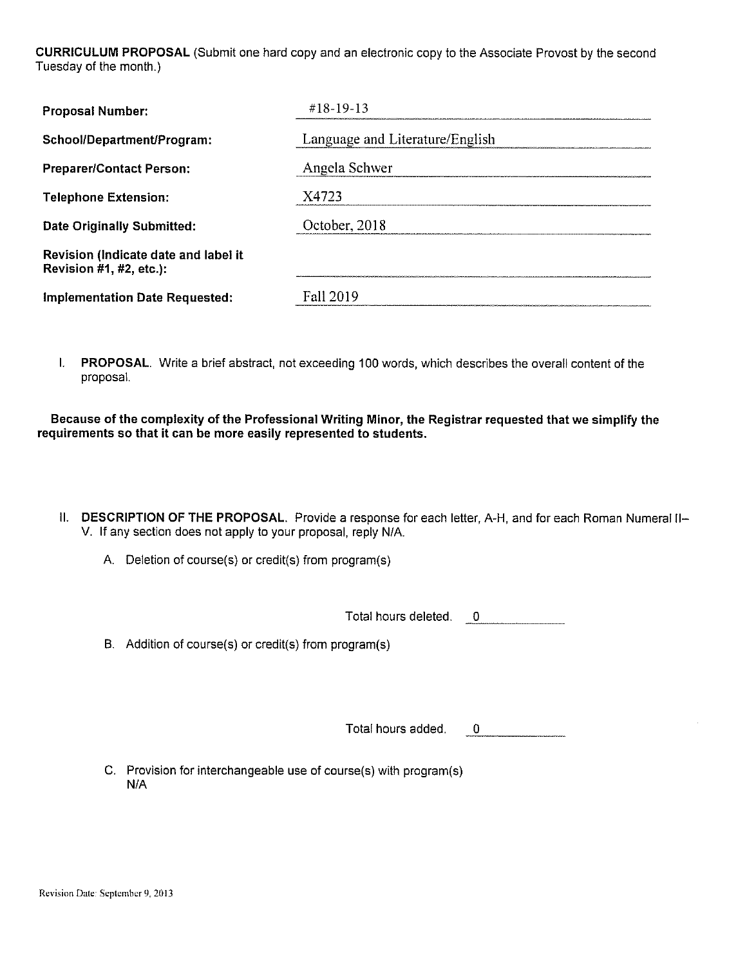CURRICULUM PROPOSAL (Submit one hard copy and an electronic copy to the Associate Provost by the second Tuesday of the month.)

| <b>Proposal Number:</b>                                         | $\#18 - 19 - 13$                |
|-----------------------------------------------------------------|---------------------------------|
| School/Department/Program:                                      | Language and Literature/English |
| <b>Preparer/Contact Person:</b>                                 | Angela Schwer                   |
| <b>Telephone Extension:</b>                                     | X4723                           |
| Date Originally Submitted:                                      | October, 2018                   |
| Revision (Indicate date and label it<br>Revision #1, #2, etc.): |                                 |
| <b>Implementation Date Requested:</b>                           | <b>Fall 2019</b>                |

I. PROPOSAL. Write a brief abstract, not exceeding 100 words, which describes the overall content of the proposal.

Because of the complexity of the Professional Writing Minor, the Registrar requested that we simplify the requirements so that it can be more easily represented to students.

- II. DESCRIPTION OF THE PROPOSAL. Provide a response for each letter, A-H, and for each Roman Numeral II-V. If any section does not apply to your proposal, reply N/A.
	- A. Deletion of course(s) or credit(s) from program(s)

Total hours deleted. 0

B. Addition of course(s) or credit(s) from program(s)

Total hours added.  $\overline{0}$  and  $\overline{0}$  and  $\overline{0}$  and  $\overline{0}$ 

C. Provision for interchangeable use of course(s) with program(s)  $N/A$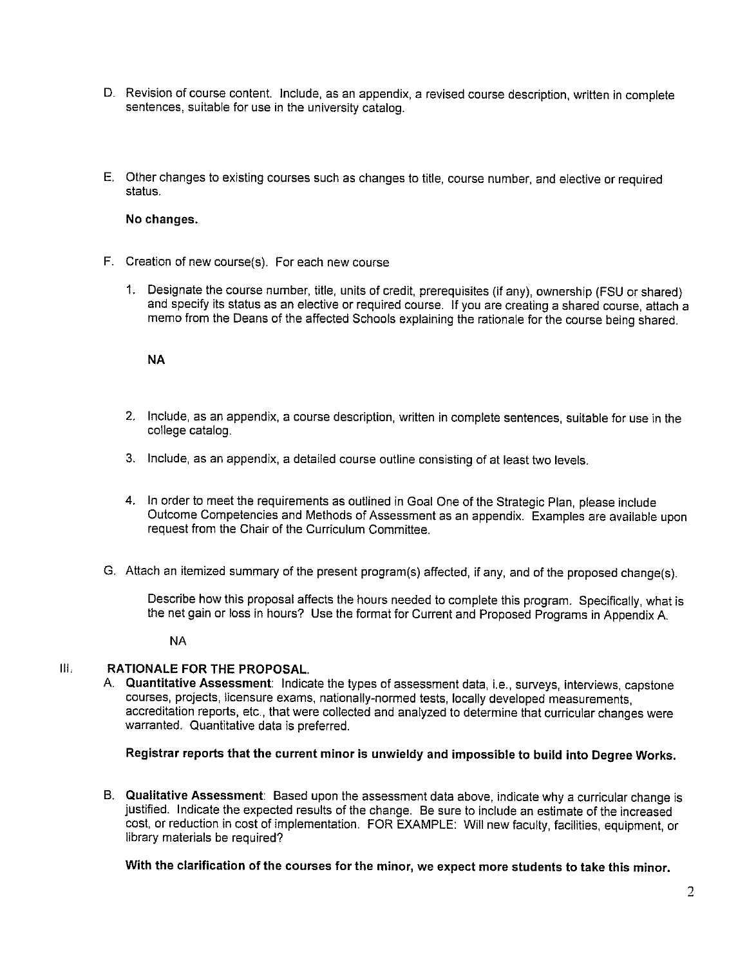- D. Revision of course content. Include, as an appendix, a revised course description, written in complete sentences, suitable for use in the university catalog.
- E. Other changes to existing courses such as changes to title, course number, and elective or required status.

#### No changes.

- F. Creation of new course(s). For each new course
	- $1.$ Designate the course number, title, units of credit, prerequisites (if any), ownership (FSU or shared) and specify its status as an elective or required course. If you are creating a shared course, attach a memo from the Deans of the affected Schools explaining the rationale for the course being shared.

#### **NA**

- 2. Include, as an appendix, a course description, written in complete sentences, suitable for use in the college catalog.
- 3. Include, as an appendix, a detailed course outline consisting of at least two levels.
- 4. In order to meet the requirements as outlined in Goal One of the Strategic Plan, please include Outcome Competencies and Methods of Assessment as an appendix. Examples are available upon request from the Chair of the Curriculum Committee.
- G. Attach an itemized summary of the present program(s) affected, if any, and of the proposed change(s).

Describe how this proposal affects the hours needed to complete this program. Specifically, what is the net gain or loss in hours? Use the format for Current and Proposed Programs in Appendix A.

**NA** 

#### $III.$ **RATIONALE FOR THE PROPOSAL.**

A. Quantitative Assessment: Indicate the types of assessment data, i.e., surveys, interviews, capstone courses, projects, licensure exams, nationally-normed tests, locally developed measurements, accreditation reports, etc., that were collected and analyzed to determine that curricular changes were warranted. Quantitative data is preferred.

#### Registrar reports that the current minor is unwieldy and impossible to build into Degree Works.

B. Qualitative Assessment: Based upon the assessment data above, indicate why a curricular change is justified. Indicate the expected results of the change. Be sure to include an estimate of the increased cost, or reduction in cost of implementation. FOR EXAMPLE: Will new faculty, facilities, equipment, or library materials be required?

With the clarification of the courses for the minor, we expect more students to take this minor.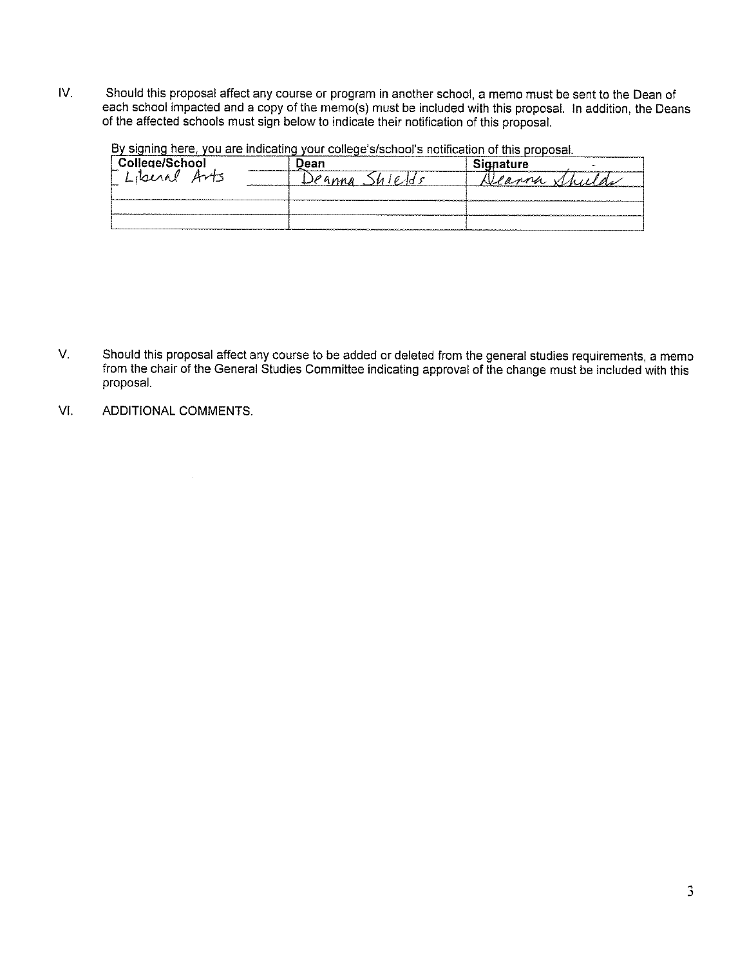IV. Should this proposal affect any course or program in another school, a memo must be sent to the Dean of each school impacted and a copy of the memo(s) must be included with this proposal. In addition, the Deans of the affected schools must sign below to indicate their notification of this proposal.

By signing here, you are indicating your college's/school's notification of this proposal.

| College/School               | Jean | <b>Signature</b> |
|------------------------------|------|------------------|
| $A\rightarrow B$<br>Literial | nn n |                  |
|                              |      |                  |
|                              |      |                  |
|                              |      |                  |

- V. Should this proposal affect any course to be added or deleted from the general studies requirements, a memo from the chair of the General Studies Committee indicating approval of the change must be included with this proposal.
- VI. ADDITIONAL COMMENTS.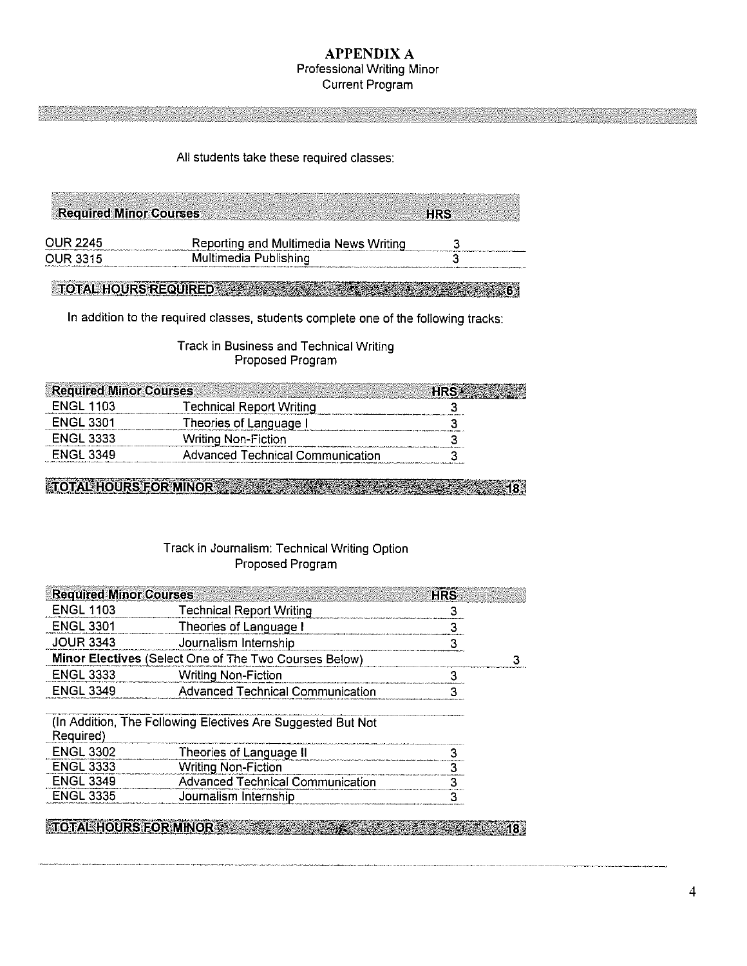#### **APPENDIX A** Professional Writing Minor **Current Program**

#### All students take these required classes:

| <b>Required Minor Courses</b> |                                       | <b>HRS</b> |  |
|-------------------------------|---------------------------------------|------------|--|
| <b>OUR 2245</b>               | Reporting and Multimedia News Writing |            |  |
| OUR 3315                      | Multimedia Publishing                 |            |  |

TOTAL HOURS REQUIRED A 200 A 200 STATE 1 200 A 200 STATE 1 200 STATE 1

In addition to the required classes, students complete one of the following tracks:

Track in Business and Technical Writing Proposed Program

| <b>ENGL 1103</b><br>Technical Report Writing<br><b>ENGL 3301</b><br>Theories of Language I<br><b>ENGL 3333</b> |
|----------------------------------------------------------------------------------------------------------------|
|                                                                                                                |
|                                                                                                                |
| <b>Writing Non-Fiction</b>                                                                                     |
| <b>FNGI 3349</b><br>Advanced Technical Communication                                                           |

**TOTAL HOURS FOR MINOR COMPANY AND RESIDENCE AND RESIDENCE**  $*18$ 

#### Track in Journalism: Technical Writing Option Proposed Program

| <b>Required Minor Courses</b> |                                                             | <b>HRS</b> |  |
|-------------------------------|-------------------------------------------------------------|------------|--|
| <b>ENGL 1103</b>              | <b>Technical Report Writing</b>                             |            |  |
| <b>ENGL 3301</b>              | Theories of Language I                                      |            |  |
| <b>JOUR 3343</b>              | Journalism Internship                                       | 3          |  |
|                               | Minor Electives (Select One of The Two Courses Below)       |            |  |
| <b>ENGL 3333</b>              | <b>Writing Non-Fiction</b>                                  | З          |  |
| <b>ENGL 3349</b>              | <b>Advanced Technical Communication</b>                     | З          |  |
| Required)                     | (In Addition, The Following Electives Are Suggested But Not |            |  |
| <b>ENGL 3302</b>              | Theories of Language II                                     |            |  |
| <b>ENGL 3333</b>              | <b>Writing Non-Fiction</b>                                  |            |  |
| <b>ENGL 3349</b>              | <b>Advanced Technical Communication</b>                     | ર          |  |
| <b>ENGL 3335</b>              | Journalism Internship                                       | 3          |  |
|                               |                                                             |            |  |

TOTAL HOURS FOR MINOR AND STATE AND THE RESIDENCE OF A 18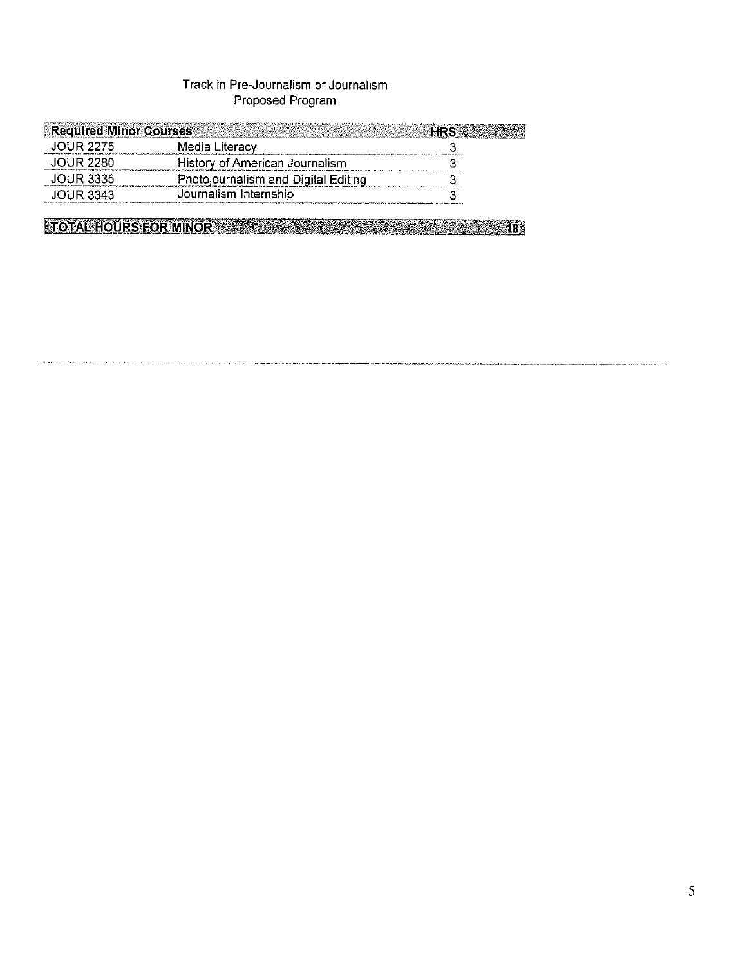## Track in Pre-Journalism or Journalism Proposed Program

| JOUR 2275<br>Media Literacy<br>JOUR 2280<br>History of American Journalism<br>DUR 3335 | <b>Required Minor Courses</b> |                                     |  |
|----------------------------------------------------------------------------------------|-------------------------------|-------------------------------------|--|
|                                                                                        |                               |                                     |  |
|                                                                                        |                               |                                     |  |
|                                                                                        |                               | Photojournalism and Digital Editing |  |
| Journalism Internship<br>DHR 3343                                                      |                               |                                     |  |

**STOTAL HOURS FOR MINOR CONSTRUCTION AND RESIDENCE AND ALL ADDRESS OF A STATE OF A STATE OF A STATE OF A STATE**